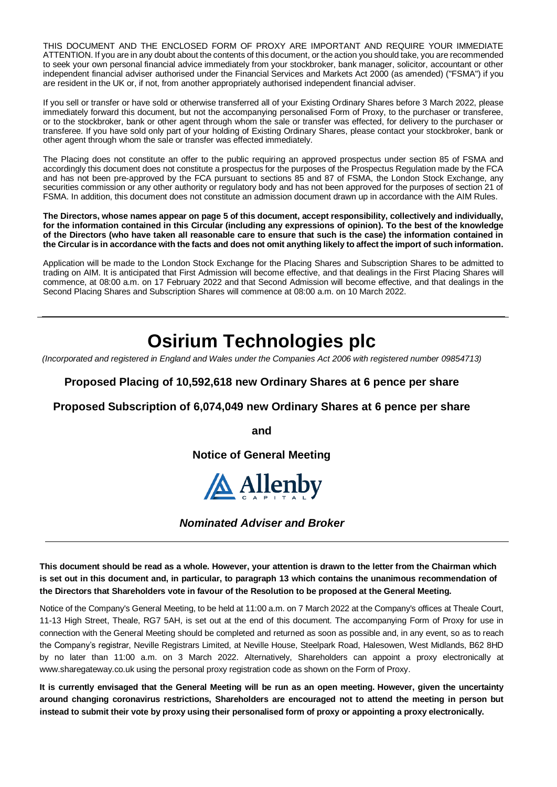THIS DOCUMENT AND THE ENCLOSED FORM OF PROXY ARE IMPORTANT AND REQUIRE YOUR IMMEDIATE ATTENTION. If you are in any doubt about the contents of this document, or the action you should take, you are recommended to seek your own personal financial advice immediately from your stockbroker, bank manager, solicitor, accountant or other independent financial adviser authorised under the Financial Services and Markets Act 2000 (as amended) ("FSMA") if you are resident in the UK or, if not, from another appropriately authorised independent financial adviser.

If you sell or transfer or have sold or otherwise transferred all of your Existing Ordinary Shares before 3 March 2022, please immediately forward this document, but not the accompanying personalised Form of Proxy, to the purchaser or transferee, or to the stockbroker, bank or other agent through whom the sale or transfer was effected, for delivery to the purchaser or transferee. If you have sold only part of your holding of Existing Ordinary Shares, please contact your stockbroker, bank or other agent through whom the sale or transfer was effected immediately.

The Placing does not constitute an offer to the public requiring an approved prospectus under section 85 of FSMA and accordingly this document does not constitute a prospectus for the purposes of the Prospectus Regulation made by the FCA and has not been pre-approved by the FCA pursuant to sections 85 and 87 of FSMA, the London Stock Exchange, any securities commission or any other authority or regulatory body and has not been approved for the purposes of section 21 of FSMA. In addition, this document does not constitute an admission document drawn up in accordance with the AIM Rules.

**The Directors, whose names appear on page 5 of this document, accept responsibility, collectively and individually, for the information contained in this Circular (including any expressions of opinion). To the best of the knowledge of the Directors (who have taken all reasonable care to ensure that such is the case) the information contained in the Circular is in accordance with the facts and does not omit anything likely to affect the import of such information.**

Application will be made to the London Stock Exchange for the Placing Shares and Subscription Shares to be admitted to trading on AIM. It is anticipated that First Admission will become effective, and that dealings in the First Placing Shares will commence, at 08:00 a.m. on 17 February 2022 and that Second Admission will become effective, and that dealings in the Second Placing Shares and Subscription Shares will commence at 08:00 a.m. on 10 March 2022.

# **Osirium Technologies plc**

*(Incorporated and registered in England and Wales under the Companies Act 2006 with registered number 09854713)*

# **Proposed Placing of 10,592,618 new Ordinary Shares at 6 pence per share**

## **Proposed Subscription of 6,074,049 new Ordinary Shares at 6 pence per share**

**and**

**Notice of General Meeting**



*Nominated Adviser and Broker*

**This document should be read as a whole. However, your attention is drawn to the letter from the Chairman which is set out in this document and, in particular, to paragraph 13 which contains the unanimous recommendation of the Directors that Shareholders vote in favour of the Resolution to be proposed at the General Meeting.**

Notice of the Company's General Meeting, to be held at 11:00 a.m. on 7 March 2022 at the Company's offices at Theale Court, 11-13 High Street, Theale, RG7 5AH, is set out at the end of this document. The accompanying Form of Proxy for use in connection with the General Meeting should be completed and returned as soon as possible and, in any event, so as to reach the Company's registrar, Neville Registrars Limited, at Neville House, Steelpark Road, Halesowen, West Midlands, B62 8HD by no later than 11:00 a.m. on 3 March 2022. Alternatively, Shareholders can appoint a proxy electronically at www.sharegateway.co.uk using the personal proxy registration code as shown on the Form of Proxy.

**It is currently envisaged that the General Meeting will be run as an open meeting. However, given the uncertainty around changing coronavirus restrictions, Shareholders are encouraged not to attend the meeting in person but instead to submit their vote by proxy using their personalised form of proxy or appointing a proxy electronically.**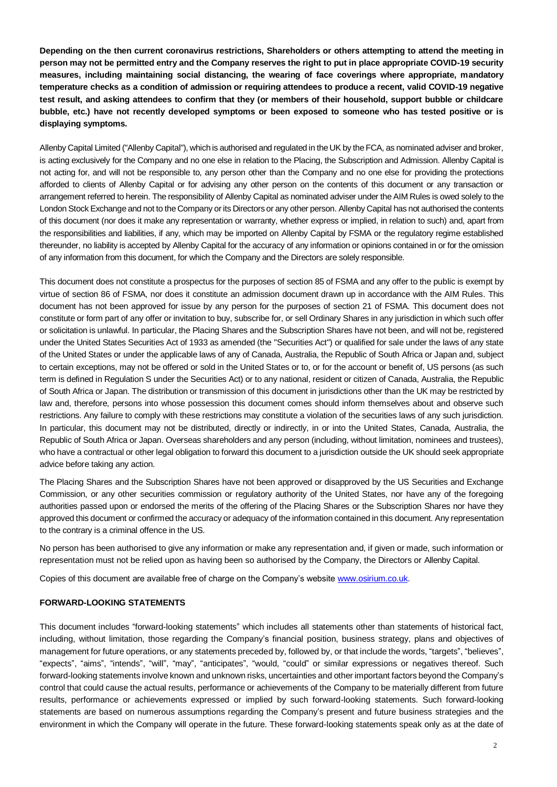**Depending on the then current coronavirus restrictions, Shareholders or others attempting to attend the meeting in person may not be permitted entry and the Company reserves the right to put in place appropriate COVID-19 security measures, including maintaining social distancing, the wearing of face coverings where appropriate, mandatory temperature checks as a condition of admission or requiring attendees to produce a recent, valid COVID-19 negative test result, and asking attendees to confirm that they (or members of their household, support bubble or childcare bubble, etc.) have not recently developed symptoms or been exposed to someone who has tested positive or is displaying symptoms.**

Allenby Capital Limited ("Allenby Capital"), which is authorised and regulated in the UK by the FCA, as nominated adviser and broker, is acting exclusively for the Company and no one else in relation to the Placing, the Subscription and Admission. Allenby Capital is not acting for, and will not be responsible to, any person other than the Company and no one else for providing the protections afforded to clients of Allenby Capital or for advising any other person on the contents of this document or any transaction or arrangement referred to herein. The responsibility of Allenby Capital as nominated adviser under the AIM Rules is owed solely to the London Stock Exchange and not to the Company or its Directors or any other person. Allenby Capital has not authorised the contents of this document (nor does it make any representation or warranty, whether express or implied, in relation to such) and, apart from the responsibilities and liabilities, if any, which may be imported on Allenby Capital by FSMA or the regulatory regime established thereunder, no liability is accepted by Allenby Capital for the accuracy of any information or opinions contained in or for the omission of any information from this document, for which the Company and the Directors are solely responsible.

This document does not constitute a prospectus for the purposes of section 85 of FSMA and any offer to the public is exempt by virtue of section 86 of FSMA, nor does it constitute an admission document drawn up in accordance with the AIM Rules. This document has not been approved for issue by any person for the purposes of section 21 of FSMA. This document does not constitute or form part of any offer or invitation to buy, subscribe for, or sell Ordinary Shares in any jurisdiction in which such offer or solicitation is unlawful. In particular, the Placing Shares and the Subscription Shares have not been, and will not be, registered under the United States Securities Act of 1933 as amended (the "Securities Act") or qualified for sale under the laws of any state of the United States or under the applicable laws of any of Canada, Australia, the Republic of South Africa or Japan and, subject to certain exceptions, may not be offered or sold in the United States or to, or for the account or benefit of, US persons (as such term is defined in Regulation S under the Securities Act) or to any national, resident or citizen of Canada, Australia, the Republic of South Africa or Japan. The distribution or transmission of this document in jurisdictions other than the UK may be restricted by law and, therefore, persons into whose possession this document comes should inform themselves about and observe such restrictions. Any failure to comply with these restrictions may constitute a violation of the securities laws of any such jurisdiction. In particular, this document may not be distributed, directly or indirectly, in or into the United States, Canada, Australia, the Republic of South Africa or Japan. Overseas shareholders and any person (including, without limitation, nominees and trustees), who have a contractual or other legal obligation to forward this document to a jurisdiction outside the UK should seek appropriate advice before taking any action.

The Placing Shares and the Subscription Shares have not been approved or disapproved by the US Securities and Exchange Commission, or any other securities commission or regulatory authority of the United States, nor have any of the foregoing authorities passed upon or endorsed the merits of the offering of the Placing Shares or the Subscription Shares nor have they approved this document or confirmed the accuracy or adequacy of the information contained in this document. Any representation to the contrary is a criminal offence in the US.

No person has been authorised to give any information or make any representation and, if given or made, such information or representation must not be relied upon as having been so authorised by the Company, the Directors or Allenby Capital.

Copies of this document are available free of charge on the Company's website [www.osirium.co.uk.](http://www.osirium.co.uk/)

#### **FORWARD-LOOKING STATEMENTS**

This document includes "forward-looking statements" which includes all statements other than statements of historical fact, including, without limitation, those regarding the Company's financial position, business strategy, plans and objectives of management for future operations, or any statements preceded by, followed by, or that include the words, "targets", "believes", "expects", "aims", "intends", "will", "may", "anticipates", "would, "could" or similar expressions or negatives thereof. Such forward-looking statements involve known and unknown risks, uncertainties and other important factors beyond the Company's control that could cause the actual results, performance or achievements of the Company to be materially different from future results, performance or achievements expressed or implied by such forward-looking statements. Such forward-looking statements are based on numerous assumptions regarding the Company's present and future business strategies and the environment in which the Company will operate in the future. These forward-looking statements speak only as at the date of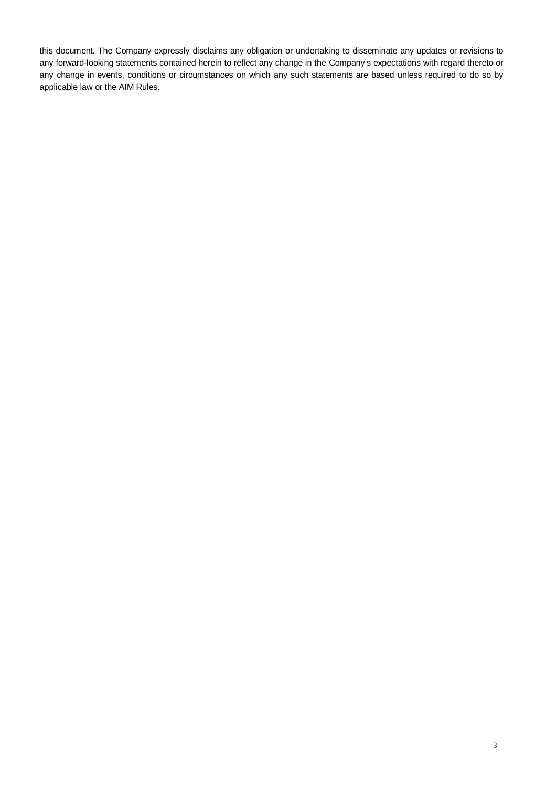this document. The Company expressly disclaims any obligation or undertaking to disseminate any updates or revisions to any forward-looking statements contained herein to reflect any change in the Company's expectations with regard thereto or any change in events, conditions or circumstances on which any such statements are based unless required to do so by applicable law or the AIM Rules.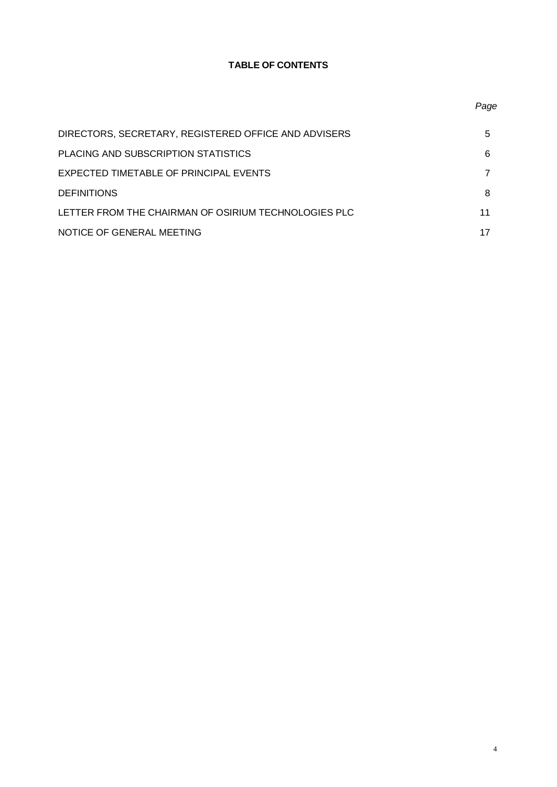# **TABLE OF CONTENTS**

| DIRECTORS, SECRETARY, REGISTERED OFFICE AND ADVISERS | 5  |
|------------------------------------------------------|----|
| PLACING AND SUBSCRIPTION STATISTICS                  | 6  |
| EXPECTED TIMETABLE OF PRINCIPAL EVENTS               |    |
| <b>DEFINITIONS</b>                                   | 8  |
| LETTER FROM THE CHAIRMAN OF OSIRIUM TECHNOLOGIES PLC | 11 |
| NOTICE OF GENERAL MEETING                            |    |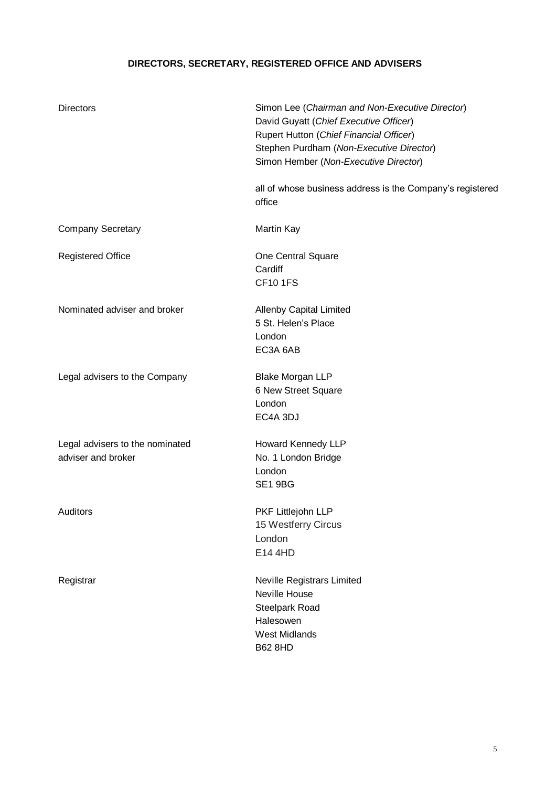# **DIRECTORS, SECRETARY, REGISTERED OFFICE AND ADVISERS**

| <b>Directors</b>                                      | Simon Lee (Chairman and Non-Executive Director)<br>David Guyatt (Chief Executive Officer)<br>Rupert Hutton (Chief Financial Officer)<br>Stephen Purdham (Non-Executive Director)<br>Simon Hember (Non-Executive Director) |
|-------------------------------------------------------|---------------------------------------------------------------------------------------------------------------------------------------------------------------------------------------------------------------------------|
|                                                       | all of whose business address is the Company's registered<br>office                                                                                                                                                       |
| <b>Company Secretary</b>                              | <b>Martin Kay</b>                                                                                                                                                                                                         |
| <b>Registered Office</b>                              | One Central Square<br>Cardiff<br><b>CF10 1FS</b>                                                                                                                                                                          |
| Nominated adviser and broker                          | <b>Allenby Capital Limited</b><br>5 St. Helen's Place<br>London<br>EC3A 6AB                                                                                                                                               |
| Legal advisers to the Company                         | <b>Blake Morgan LLP</b><br>6 New Street Square<br>London<br>EC4A 3DJ                                                                                                                                                      |
| Legal advisers to the nominated<br>adviser and broker | Howard Kennedy LLP<br>No. 1 London Bridge<br>London<br>SE1 9BG                                                                                                                                                            |
| Auditors                                              | PKF Littlejohn LLP<br>15 Westferry Circus<br>London<br>E14 4HD                                                                                                                                                            |
| Registrar                                             | Neville Registrars Limited<br>Neville House<br>Steelpark Road<br>Halesowen<br><b>West Midlands</b><br><b>B62 8HD</b>                                                                                                      |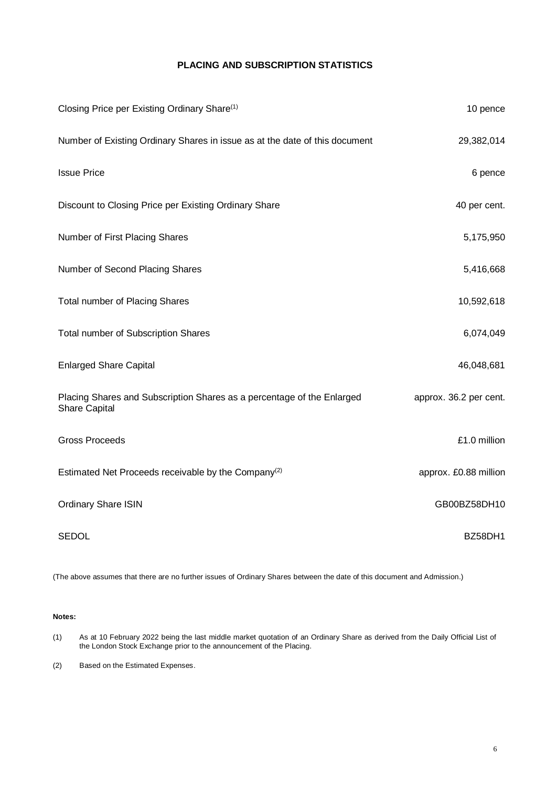# **PLACING AND SUBSCRIPTION STATISTICS**

| Closing Price per Existing Ordinary Share <sup>(1)</sup>                                       | 10 pence               |
|------------------------------------------------------------------------------------------------|------------------------|
| Number of Existing Ordinary Shares in issue as at the date of this document                    | 29,382,014             |
| <b>Issue Price</b>                                                                             | 6 pence                |
| Discount to Closing Price per Existing Ordinary Share                                          | 40 per cent.           |
| Number of First Placing Shares                                                                 | 5,175,950              |
| Number of Second Placing Shares                                                                | 5,416,668              |
| <b>Total number of Placing Shares</b>                                                          | 10,592,618             |
| Total number of Subscription Shares                                                            | 6,074,049              |
| <b>Enlarged Share Capital</b>                                                                  | 46,048,681             |
| Placing Shares and Subscription Shares as a percentage of the Enlarged<br><b>Share Capital</b> | approx. 36.2 per cent. |
| <b>Gross Proceeds</b>                                                                          | £1.0 million           |
| Estimated Net Proceeds receivable by the Company <sup>(2)</sup>                                | approx. £0.88 million  |
| <b>Ordinary Share ISIN</b>                                                                     | GB00BZ58DH10           |
| <b>SEDOL</b>                                                                                   | BZ58DH1                |

(The above assumes that there are no further issues of Ordinary Shares between the date of this document and Admission.)

#### **Notes:**

(1) As at 10 February 2022 being the last middle market quotation of an Ordinary Share as derived from the Daily Official List of the London Stock Exchange prior to the announcement of the Placing.

(2) Based on the Estimated Expenses.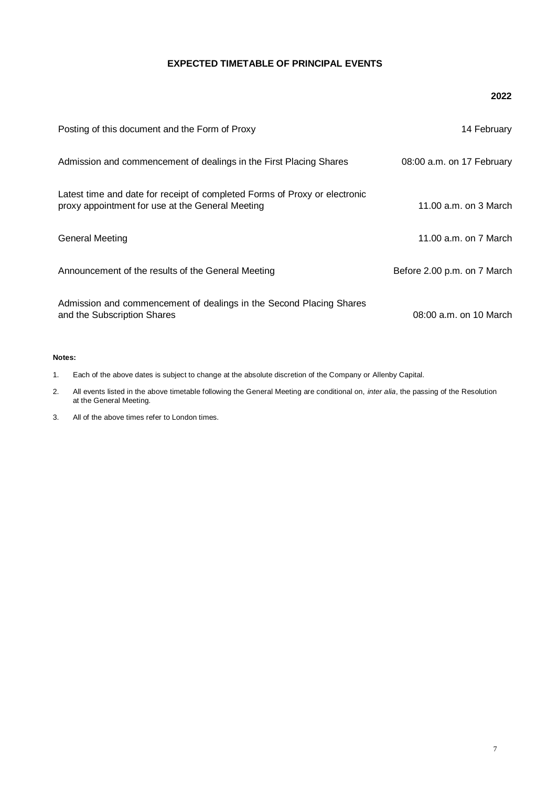# **EXPECTED TIMETABLE OF PRINCIPAL EVENTS**

#### **2022**

| Posting of this document and the Form of Proxy                                                                                 | 14 February                 |
|--------------------------------------------------------------------------------------------------------------------------------|-----------------------------|
| Admission and commencement of dealings in the First Placing Shares                                                             | 08:00 a.m. on 17 February   |
| Latest time and date for receipt of completed Forms of Proxy or electronic<br>proxy appointment for use at the General Meeting | 11.00 a.m. on 3 March       |
| <b>General Meeting</b>                                                                                                         | 11.00 a.m. on 7 March       |
| Announcement of the results of the General Meeting                                                                             | Before 2.00 p.m. on 7 March |
| Admission and commencement of dealings in the Second Placing Shares<br>and the Subscription Shares                             | 08:00 a.m. on 10 March      |

#### **Notes:**

- 1. Each of the above dates is subject to change at the absolute discretion of the Company or Allenby Capital.
- 2. All events listed in the above timetable following the General Meeting are conditional on, *inter alia*, the passing of the Resolution at the General Meeting.
- 3. All of the above times refer to London times.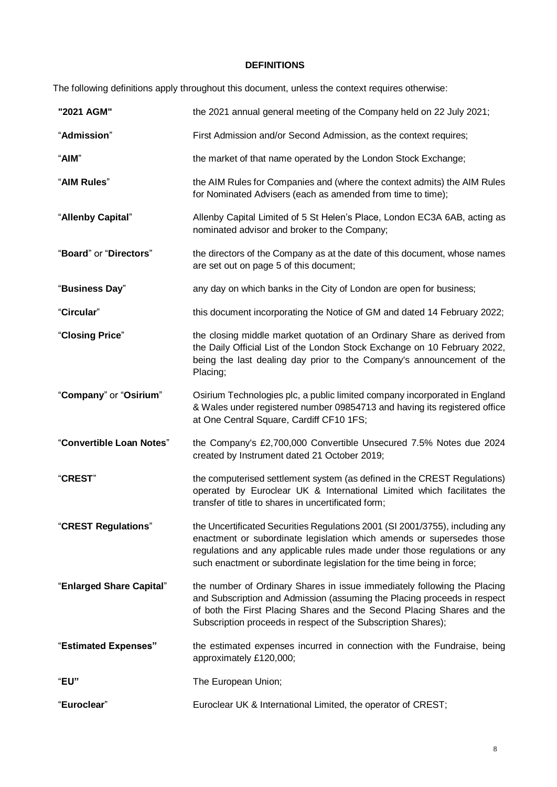# **DEFINITIONS**

The following definitions apply throughout this document, unless the context requires otherwise:

| "2021 AGM"               | the 2021 annual general meeting of the Company held on 22 July 2021;                                                                                                                                                                                                                                        |
|--------------------------|-------------------------------------------------------------------------------------------------------------------------------------------------------------------------------------------------------------------------------------------------------------------------------------------------------------|
| "Admission"              | First Admission and/or Second Admission, as the context requires;                                                                                                                                                                                                                                           |
| "AIM"                    | the market of that name operated by the London Stock Exchange;                                                                                                                                                                                                                                              |
| "AIM Rules"              | the AIM Rules for Companies and (where the context admits) the AIM Rules<br>for Nominated Advisers (each as amended from time to time);                                                                                                                                                                     |
| "Allenby Capital"        | Allenby Capital Limited of 5 St Helen's Place, London EC3A 6AB, acting as<br>nominated advisor and broker to the Company;                                                                                                                                                                                   |
| "Board" or "Directors"   | the directors of the Company as at the date of this document, whose names<br>are set out on page 5 of this document;                                                                                                                                                                                        |
| "Business Day"           | any day on which banks in the City of London are open for business;                                                                                                                                                                                                                                         |
| "Circular"               | this document incorporating the Notice of GM and dated 14 February 2022;                                                                                                                                                                                                                                    |
| "Closing Price"          | the closing middle market quotation of an Ordinary Share as derived from<br>the Daily Official List of the London Stock Exchange on 10 February 2022,<br>being the last dealing day prior to the Company's announcement of the<br>Placing;                                                                  |
| "Company" or "Osirium"   | Osirium Technologies plc, a public limited company incorporated in England<br>& Wales under registered number 09854713 and having its registered office<br>at One Central Square, Cardiff CF10 1FS;                                                                                                         |
| "Convertible Loan Notes" | the Company's £2,700,000 Convertible Unsecured 7.5% Notes due 2024<br>created by Instrument dated 21 October 2019;                                                                                                                                                                                          |
| <b>"CREST"</b>           | the computerised settlement system (as defined in the CREST Regulations)<br>operated by Euroclear UK & International Limited which facilitates the<br>transfer of title to shares in uncertificated form;                                                                                                   |
| "CREST Regulations"      | the Uncertificated Securities Regulations 2001 (SI 2001/3755), including any<br>enactment or subordinate legislation which amends or supersedes those<br>regulations and any applicable rules made under those regulations or any<br>such enactment or subordinate legislation for the time being in force; |
| "Enlarged Share Capital" | the number of Ordinary Shares in issue immediately following the Placing<br>and Subscription and Admission (assuming the Placing proceeds in respect<br>of both the First Placing Shares and the Second Placing Shares and the<br>Subscription proceeds in respect of the Subscription Shares);             |
| "Estimated Expenses"     | the estimated expenses incurred in connection with the Fundraise, being<br>approximately £120,000;                                                                                                                                                                                                          |
| "EU"                     | The European Union;                                                                                                                                                                                                                                                                                         |
| "Euroclear"              | Euroclear UK & International Limited, the operator of CREST;                                                                                                                                                                                                                                                |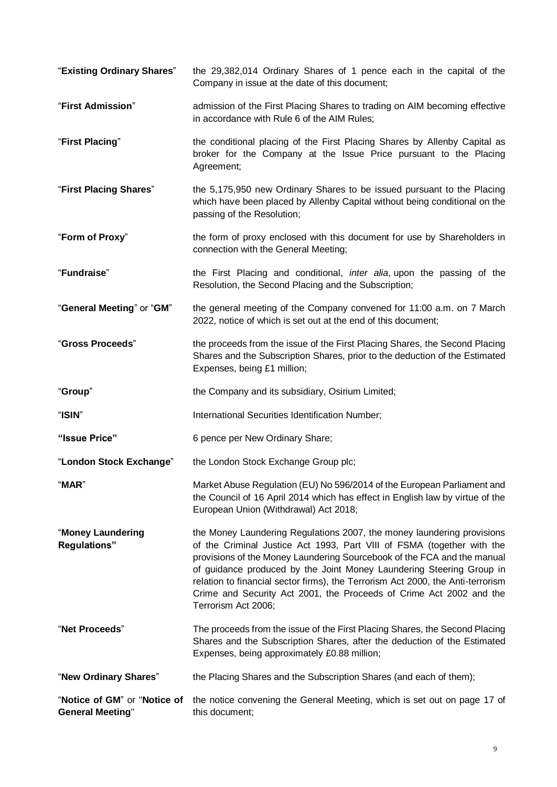"**Existing Ordinary Shares**" the 29,382,014 Ordinary Shares of 1 pence each in the capital of the Company in issue at the date of this document; "**First Admission**" admission of the First Placing Shares to trading on AIM becoming effective in accordance with Rule 6 of the AIM Rules; "**First Placing**" the conditional placing of the First Placing Shares by Allenby Capital as broker for the Company at the Issue Price pursuant to the Placing Agreement; "**First Placing Shares**" the 5,175,950 new Ordinary Shares to be issued pursuant to the Placing which have been placed by Allenby Capital without being conditional on the passing of the Resolution; "**Form of Proxy**" the form of proxy enclosed with this document for use by Shareholders in connection with the General Meeting; "**Fundraise**" the First Placing and conditional, *inter alia*, upon the passing of the Resolution, the Second Placing and the Subscription; "**General Meeting**" or "**GM**" the general meeting of the Company convened for 11:00 a.m. on 7 March 2022, notice of which is set out at the end of this document; "**Gross Proceeds**" the proceeds from the issue of the First Placing Shares, the Second Placing Shares and the Subscription Shares, prior to the deduction of the Estimated Expenses, being £1 million; "**Group**" the Company and its subsidiary, Osirium Limited; "**ISIN**" International Securities Identification Number; **"Issue Price"** 6 pence per New Ordinary Share; "**London Stock Exchange**" the London Stock Exchange Group plc; "**MAR**" Market Abuse Regulation (EU) No 596/2014 of the European Parliament and the Council of 16 April 2014 which has effect in English law by virtue of the European Union (Withdrawal) Act 2018; "**Money Laundering Regulations"** the Money Laundering Regulations 2007, the money laundering provisions of the Criminal Justice Act 1993, Part VIII of FSMA (together with the provisions of the Money Laundering Sourcebook of the FCA and the manual of guidance produced by the Joint Money Laundering Steering Group in relation to financial sector firms), the Terrorism Act 2000, the Anti-terrorism Crime and Security Act 2001, the Proceeds of Crime Act 2002 and the Terrorism Act 2006; "**Net Proceeds**" The proceeds from the issue of the First Placing Shares, the Second Placing Shares and the Subscription Shares, after the deduction of the Estimated Expenses, being approximately £0.88 million; "**New Ordinary Shares**" the Placing Shares and the Subscription Shares (and each of them); "**Notice of GM**" or "**Notice of General Meeting**" the notice convening the General Meeting, which is set out on page 17 of this document;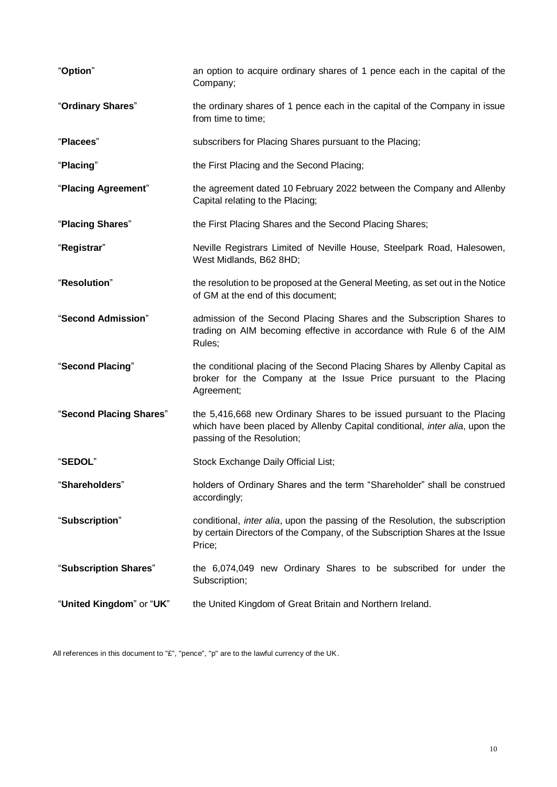| "Option"                 | an option to acquire ordinary shares of 1 pence each in the capital of the<br>Company;                                                                                              |  |
|--------------------------|-------------------------------------------------------------------------------------------------------------------------------------------------------------------------------------|--|
| "Ordinary Shares"        | the ordinary shares of 1 pence each in the capital of the Company in issue<br>from time to time;                                                                                    |  |
| "Placees"                | subscribers for Placing Shares pursuant to the Placing;                                                                                                                             |  |
| "Placing"                | the First Placing and the Second Placing;                                                                                                                                           |  |
| "Placing Agreement"      | the agreement dated 10 February 2022 between the Company and Allenby<br>Capital relating to the Placing;                                                                            |  |
| "Placing Shares"         | the First Placing Shares and the Second Placing Shares;                                                                                                                             |  |
| "Registrar"              | Neville Registrars Limited of Neville House, Steelpark Road, Halesowen,<br>West Midlands, B62 8HD;                                                                                  |  |
| "Resolution"             | the resolution to be proposed at the General Meeting, as set out in the Notice<br>of GM at the end of this document;                                                                |  |
| "Second Admission"       | admission of the Second Placing Shares and the Subscription Shares to<br>trading on AIM becoming effective in accordance with Rule 6 of the AIM<br>Rules;                           |  |
| "Second Placing"         | the conditional placing of the Second Placing Shares by Allenby Capital as<br>broker for the Company at the Issue Price pursuant to the Placing<br>Agreement;                       |  |
| "Second Placing Shares"  | the 5,416,668 new Ordinary Shares to be issued pursuant to the Placing<br>which have been placed by Allenby Capital conditional, inter alia, upon the<br>passing of the Resolution; |  |
| "SEDOL"                  | Stock Exchange Daily Official List;                                                                                                                                                 |  |
| "Shareholders"           | holders of Ordinary Shares and the term "Shareholder" shall be construed<br>accordingly;                                                                                            |  |
| "Subscription"           | conditional, <i>inter alia</i> , upon the passing of the Resolution, the subscription<br>by certain Directors of the Company, of the Subscription Shares at the Issue<br>Price;     |  |
| "Subscription Shares"    | the 6,074,049 new Ordinary Shares to be subscribed for under the<br>Subscription;                                                                                                   |  |
| "United Kingdom" or "UK" | the United Kingdom of Great Britain and Northern Ireland.                                                                                                                           |  |

All references in this document to "£", "pence", "p" are to the lawful currency of the UK.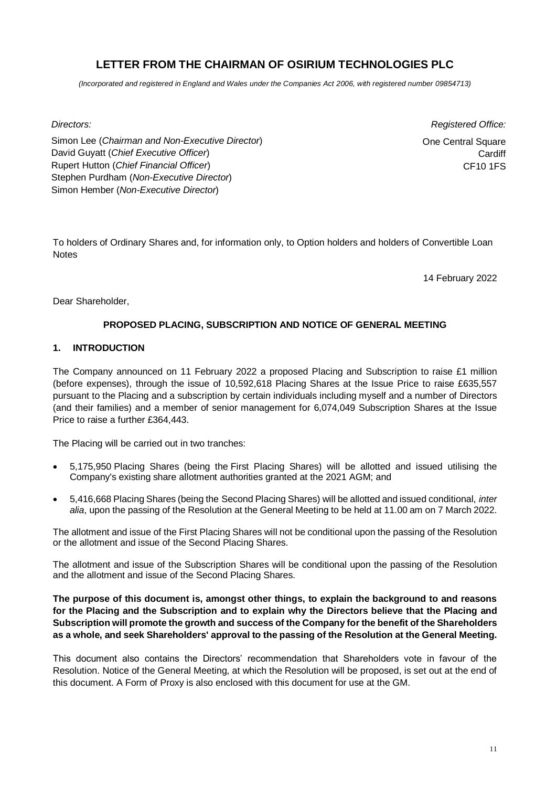# **LETTER FROM THE CHAIRMAN OF OSIRIUM TECHNOLOGIES PLC**

*(Incorporated and registered in England and Wales under the Companies Act 2006, with registered number 09854713)*

*Directors: Registered Office:*

Simon Lee (*Chairman and Non-Executive Director*) David Guyatt (*Chief Executive Officer*) Rupert Hutton (*Chief Financial Officer*) Stephen Purdham (*Non-Executive Director*) Simon Hember (*Non-Executive Director*)

One Central Square **Cardiff** CF10 1FS

To holders of Ordinary Shares and, for information only, to Option holders and holders of Convertible Loan **Notes** 

14 February 2022

Dear Shareholder,

# **PROPOSED PLACING, SUBSCRIPTION AND NOTICE OF GENERAL MEETING**

# **1. INTRODUCTION**

The Company announced on 11 February 2022 a proposed Placing and Subscription to raise £1 million (before expenses), through the issue of 10,592,618 Placing Shares at the Issue Price to raise £635,557 pursuant to the Placing and a subscription by certain individuals including myself and a number of Directors (and their families) and a member of senior management for 6,074,049 Subscription Shares at the Issue Price to raise a further £364,443.

The Placing will be carried out in two tranches:

- 5,175,950 Placing Shares (being the First Placing Shares) will be allotted and issued utilising the Company's existing share allotment authorities granted at the 2021 AGM; and
- 5,416,668 Placing Shares (being the Second Placing Shares) will be allotted and issued conditional, *inter alia*, upon the passing of the Resolution at the General Meeting to be held at 11.00 am on 7 March 2022.

The allotment and issue of the First Placing Shares will not be conditional upon the passing of the Resolution or the allotment and issue of the Second Placing Shares.

The allotment and issue of the Subscription Shares will be conditional upon the passing of the Resolution and the allotment and issue of the Second Placing Shares.

**The purpose of this document is, amongst other things, to explain the background to and reasons for the Placing and the Subscription and to explain why the Directors believe that the Placing and Subscription will promote the growth and success of the Company for the benefit of the Shareholders as a whole, and seek Shareholders' approval to the passing of the Resolution at the General Meeting.**

This document also contains the Directors' recommendation that Shareholders vote in favour of the Resolution. Notice of the General Meeting, at which the Resolution will be proposed, is set out at the end of this document. A Form of Proxy is also enclosed with this document for use at the GM.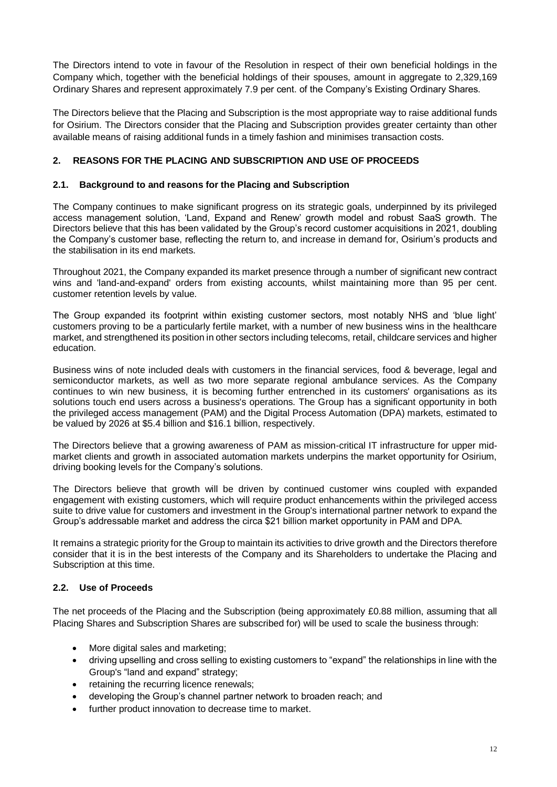The Directors intend to vote in favour of the Resolution in respect of their own beneficial holdings in the Company which, together with the beneficial holdings of their spouses, amount in aggregate to 2,329,169 Ordinary Shares and represent approximately 7.9 per cent. of the Company's Existing Ordinary Shares.

The Directors believe that the Placing and Subscription is the most appropriate way to raise additional funds for Osirium. The Directors consider that the Placing and Subscription provides greater certainty than other available means of raising additional funds in a timely fashion and minimises transaction costs.

# **2. REASONS FOR THE PLACING AND SUBSCRIPTION AND USE OF PROCEEDS**

## **2.1. Background to and reasons for the Placing and Subscription**

The Company continues to make significant progress on its strategic goals, underpinned by its privileged access management solution, 'Land, Expand and Renew' growth model and robust SaaS growth. The Directors believe that this has been validated by the Group's record customer acquisitions in 2021, doubling the Company's customer base, reflecting the return to, and increase in demand for, Osirium's products and the stabilisation in its end markets.

Throughout 2021, the Company expanded its market presence through a number of significant new contract wins and 'land-and-expand' orders from existing accounts, whilst maintaining more than 95 per cent. customer retention levels by value.

The Group expanded its footprint within existing customer sectors, most notably NHS and 'blue light' customers proving to be a particularly fertile market, with a number of new business wins in the healthcare market, and strengthened its position in other sectors including telecoms, retail, childcare services and higher education.

Business wins of note included deals with customers in the financial services, food & beverage, legal and semiconductor markets, as well as two more separate regional ambulance services. As the Company continues to win new business, it is becoming further entrenched in its customers' organisations as its solutions touch end users across a business's operations. The Group has a significant opportunity in both the privileged access management (PAM) and the Digital Process Automation (DPA) markets, estimated to be valued by 2026 at \$5.4 billion and \$16.1 billion, respectively.

The Directors believe that a growing awareness of PAM as mission-critical IT infrastructure for upper midmarket clients and growth in associated automation markets underpins the market opportunity for Osirium, driving booking levels for the Company's solutions.

The Directors believe that growth will be driven by continued customer wins coupled with expanded engagement with existing customers, which will require product enhancements within the privileged access suite to drive value for customers and investment in the Group's international partner network to expand the Group's addressable market and address the circa \$21 billion market opportunity in PAM and DPA.

It remains a strategic priority for the Group to maintain its activities to drive growth and the Directors therefore consider that it is in the best interests of the Company and its Shareholders to undertake the Placing and Subscription at this time.

## **2.2. Use of Proceeds**

The net proceeds of the Placing and the Subscription (being approximately £0.88 million, assuming that all Placing Shares and Subscription Shares are subscribed for) will be used to scale the business through:

- More digital sales and marketing;
- driving upselling and cross selling to existing customers to "expand" the relationships in line with the Group's "land and expand" strategy;
- retaining the recurring licence renewals;
- developing the Group's channel partner network to broaden reach; and
- further product innovation to decrease time to market.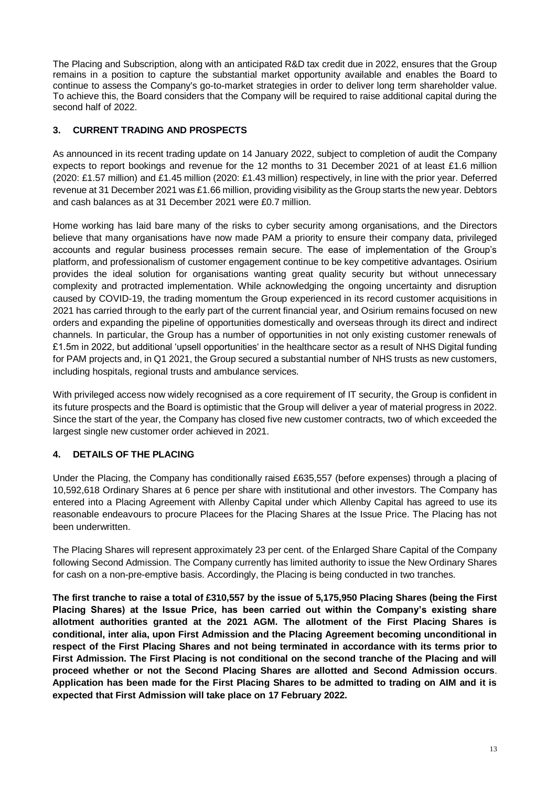The Placing and Subscription, along with an anticipated R&D tax credit due in 2022, ensures that the Group remains in a position to capture the substantial market opportunity available and enables the Board to continue to assess the Company's go-to-market strategies in order to deliver long term shareholder value. To achieve this, the Board considers that the Company will be required to raise additional capital during the second half of 2022.

# **3. CURRENT TRADING AND PROSPECTS**

As announced in its recent trading update on 14 January 2022, subject to completion of audit the Company expects to report bookings and revenue for the 12 months to 31 December 2021 of at least £1.6 million (2020: £1.57 million) and £1.45 million (2020: £1.43 million) respectively, in line with the prior year. Deferred revenue at 31 December 2021 was £1.66 million, providing visibility as the Group starts the new year. Debtors and cash balances as at 31 December 2021 were £0.7 million.

Home working has laid bare many of the risks to cyber security among organisations, and the Directors believe that many organisations have now made PAM a priority to ensure their company data, privileged accounts and regular business processes remain secure. The ease of implementation of the Group's platform, and professionalism of customer engagement continue to be key competitive advantages. Osirium provides the ideal solution for organisations wanting great quality security but without unnecessary complexity and protracted implementation. While acknowledging the ongoing uncertainty and disruption caused by COVID-19, the trading momentum the Group experienced in its record customer acquisitions in 2021 has carried through to the early part of the current financial year, and Osirium remains focused on new orders and expanding the pipeline of opportunities domestically and overseas through its direct and indirect channels. In particular, the Group has a number of opportunities in not only existing customer renewals of £1.5m in 2022, but additional 'upsell opportunities' in the healthcare sector as a result of NHS Digital funding for PAM projects and, in Q1 2021, the Group secured a substantial number of NHS trusts as new customers, including hospitals, regional trusts and ambulance services.

With privileged access now widely recognised as a core requirement of IT security, the Group is confident in its future prospects and the Board is optimistic that the Group will deliver a year of material progress in 2022. Since the start of the year, the Company has closed five new customer contracts, two of which exceeded the largest single new customer order achieved in 2021.

# **4. DETAILS OF THE PLACING**

Under the Placing, the Company has conditionally raised £635,557 (before expenses) through a placing of 10,592,618 Ordinary Shares at 6 pence per share with institutional and other investors. The Company has entered into a Placing Agreement with Allenby Capital under which Allenby Capital has agreed to use its reasonable endeavours to procure Placees for the Placing Shares at the Issue Price. The Placing has not been underwritten.

The Placing Shares will represent approximately 23 per cent. of the Enlarged Share Capital of the Company following Second Admission. The Company currently has limited authority to issue the New Ordinary Shares for cash on a non-pre-emptive basis. Accordingly, the Placing is being conducted in two tranches.

**The first tranche to raise a total of £310,557 by the issue of 5,175,950 Placing Shares (being the First Placing Shares) at the Issue Price, has been carried out within the Company's existing share allotment authorities granted at the 2021 AGM. The allotment of the First Placing Shares is conditional, inter alia, upon First Admission and the Placing Agreement becoming unconditional in respect of the First Placing Shares and not being terminated in accordance with its terms prior to First Admission. The First Placing is not conditional on the second tranche of the Placing and will proceed whether or not the Second Placing Shares are allotted and Second Admission occurs**. **Application has been made for the First Placing Shares to be admitted to trading on AIM and it is expected that First Admission will take place on 17 February 2022.**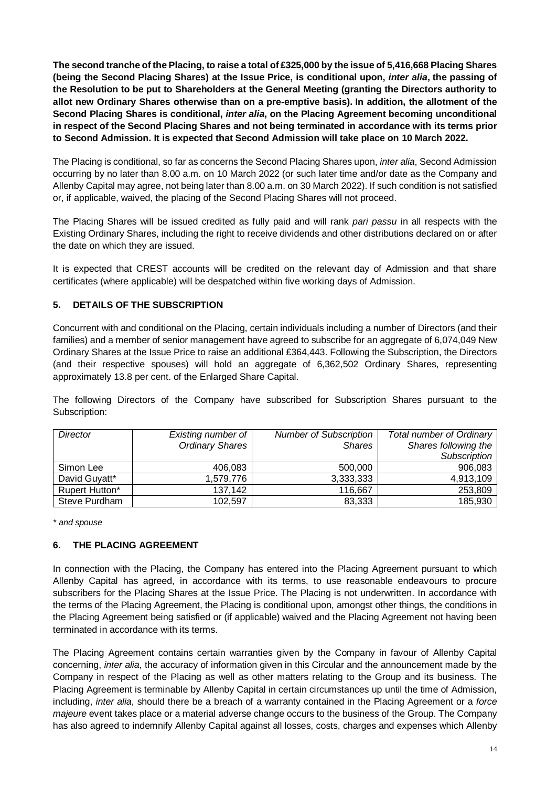**The second tranche of the Placing, to raise a total of £325,000 by the issue of 5,416,668 Placing Shares (being the Second Placing Shares) at the Issue Price, is conditional upon,** *inter alia***, the passing of the Resolution to be put to Shareholders at the General Meeting (granting the Directors authority to allot new Ordinary Shares otherwise than on a pre-emptive basis). In addition, the allotment of the Second Placing Shares is conditional,** *inter alia***, on the Placing Agreement becoming unconditional in respect of the Second Placing Shares and not being terminated in accordance with its terms prior to Second Admission. It is expected that Second Admission will take place on 10 March 2022.**

The Placing is conditional, so far as concerns the Second Placing Shares upon, *inter alia*, Second Admission occurring by no later than 8.00 a.m. on 10 March 2022 (or such later time and/or date as the Company and Allenby Capital may agree, not being later than 8.00 a.m. on 30 March 2022). If such condition is not satisfied or, if applicable, waived, the placing of the Second Placing Shares will not proceed.

The Placing Shares will be issued credited as fully paid and will rank *pari passu* in all respects with the Existing Ordinary Shares, including the right to receive dividends and other distributions declared on or after the date on which they are issued.

It is expected that CREST accounts will be credited on the relevant day of Admission and that share certificates (where applicable) will be despatched within five working days of Admission.

# **5. DETAILS OF THE SUBSCRIPTION**

Concurrent with and conditional on the Placing, certain individuals including a number of Directors (and their families) and a member of senior management have agreed to subscribe for an aggregate of 6,074,049 New Ordinary Shares at the Issue Price to raise an additional £364,443. Following the Subscription, the Directors (and their respective spouses) will hold an aggregate of 6,362,502 Ordinary Shares, representing approximately 13.8 per cent. of the Enlarged Share Capital.

The following Directors of the Company have subscribed for Subscription Shares pursuant to the Subscription:

| <b>Director</b> | Existing number of     | <b>Number of Subscription</b> | Total number of Ordinary |
|-----------------|------------------------|-------------------------------|--------------------------|
|                 | <b>Ordinary Shares</b> | <b>Shares</b>                 | Shares following the     |
|                 |                        |                               | Subscription             |
| Simon Lee       | 406,083                | 500,000                       | 906,083                  |
| David Guyatt*   | 1.579.776              | 3,333,333                     | 4,913,109                |
| Rupert Hutton*  | 137,142                | 116,667                       | 253,809                  |
| Steve Purdham   | 102,597                | 83,333                        | 185,930                  |

*\* and spouse*

## **6. THE PLACING AGREEMENT**

In connection with the Placing, the Company has entered into the Placing Agreement pursuant to which Allenby Capital has agreed, in accordance with its terms, to use reasonable endeavours to procure subscribers for the Placing Shares at the Issue Price. The Placing is not underwritten. In accordance with the terms of the Placing Agreement, the Placing is conditional upon, amongst other things, the conditions in the Placing Agreement being satisfied or (if applicable) waived and the Placing Agreement not having been terminated in accordance with its terms.

The Placing Agreement contains certain warranties given by the Company in favour of Allenby Capital concerning, *inter alia*, the accuracy of information given in this Circular and the announcement made by the Company in respect of the Placing as well as other matters relating to the Group and its business. The Placing Agreement is terminable by Allenby Capital in certain circumstances up until the time of Admission, including, *inter alia*, should there be a breach of a warranty contained in the Placing Agreement or a *force majeure* event takes place or a material adverse change occurs to the business of the Group. The Company has also agreed to indemnify Allenby Capital against all losses, costs, charges and expenses which Allenby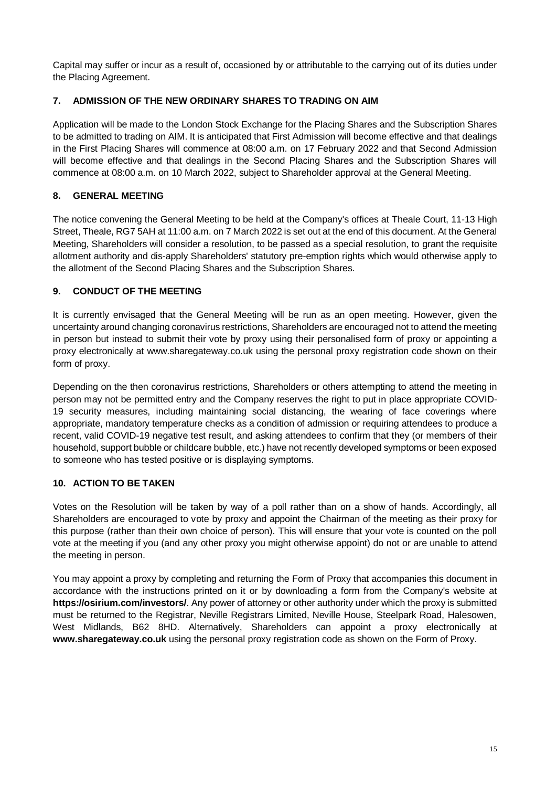Capital may suffer or incur as a result of, occasioned by or attributable to the carrying out of its duties under the Placing Agreement.

# **7. ADMISSION OF THE NEW ORDINARY SHARES TO TRADING ON AIM**

Application will be made to the London Stock Exchange for the Placing Shares and the Subscription Shares to be admitted to trading on AIM. It is anticipated that First Admission will become effective and that dealings in the First Placing Shares will commence at 08:00 a.m. on 17 February 2022 and that Second Admission will become effective and that dealings in the Second Placing Shares and the Subscription Shares will commence at 08:00 a.m. on 10 March 2022, subject to Shareholder approval at the General Meeting.

# **8. GENERAL MEETING**

The notice convening the General Meeting to be held at the Company's offices at Theale Court, 11-13 High Street, Theale, RG7 5AH at 11:00 a.m. on 7 March 2022 is set out at the end of this document. At the General Meeting, Shareholders will consider a resolution, to be passed as a special resolution, to grant the requisite allotment authority and dis-apply Shareholders' statutory pre-emption rights which would otherwise apply to the allotment of the Second Placing Shares and the Subscription Shares.

# **9. CONDUCT OF THE MEETING**

It is currently envisaged that the General Meeting will be run as an open meeting. However, given the uncertainty around changing coronavirus restrictions, Shareholders are encouraged not to attend the meeting in person but instead to submit their vote by proxy using their personalised form of proxy or appointing a proxy electronically at www.sharegateway.co.uk using the personal proxy registration code shown on their form of proxy.

Depending on the then coronavirus restrictions, Shareholders or others attempting to attend the meeting in person may not be permitted entry and the Company reserves the right to put in place appropriate COVID-19 security measures, including maintaining social distancing, the wearing of face coverings where appropriate, mandatory temperature checks as a condition of admission or requiring attendees to produce a recent, valid COVID-19 negative test result, and asking attendees to confirm that they (or members of their household, support bubble or childcare bubble, etc.) have not recently developed symptoms or been exposed to someone who has tested positive or is displaying symptoms.

# **10. ACTION TO BE TAKEN**

Votes on the Resolution will be taken by way of a poll rather than on a show of hands. Accordingly, all Shareholders are encouraged to vote by proxy and appoint the Chairman of the meeting as their proxy for this purpose (rather than their own choice of person). This will ensure that your vote is counted on the poll vote at the meeting if you (and any other proxy you might otherwise appoint) do not or are unable to attend the meeting in person.

You may appoint a proxy by completing and returning the Form of Proxy that accompanies this document in accordance with the instructions printed on it or by downloading a form from the Company's website at **https://osirium.com/investors/**. Any power of attorney or other authority under which the proxy is submitted must be returned to the Registrar, Neville Registrars Limited, Neville House, Steelpark Road, Halesowen, West Midlands, B62 8HD. Alternatively, Shareholders can appoint a proxy electronically at **www.sharegateway.co.uk** using the personal proxy registration code as shown on the Form of Proxy.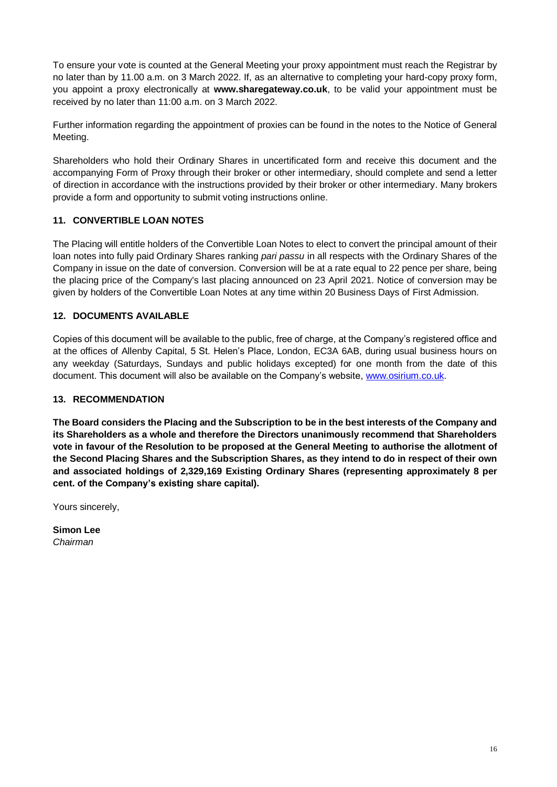To ensure your vote is counted at the General Meeting your proxy appointment must reach the Registrar by no later than by 11.00 a.m. on 3 March 2022. If, as an alternative to completing your hard-copy proxy form, you appoint a proxy electronically at **www.sharegateway.co.uk**, to be valid your appointment must be received by no later than 11:00 a.m. on 3 March 2022.

Further information regarding the appointment of proxies can be found in the notes to the Notice of General Meeting.

Shareholders who hold their Ordinary Shares in uncertificated form and receive this document and the accompanying Form of Proxy through their broker or other intermediary, should complete and send a letter of direction in accordance with the instructions provided by their broker or other intermediary. Many brokers provide a form and opportunity to submit voting instructions online.

# **11. CONVERTIBLE LOAN NOTES**

The Placing will entitle holders of the Convertible Loan Notes to elect to convert the principal amount of their loan notes into fully paid Ordinary Shares ranking *pari passu* in all respects with the Ordinary Shares of the Company in issue on the date of conversion. Conversion will be at a rate equal to 22 pence per share, being the placing price of the Company's last placing announced on 23 April 2021. Notice of conversion may be given by holders of the Convertible Loan Notes at any time within 20 Business Days of First Admission.

# **12. DOCUMENTS AVAILABLE**

Copies of this document will be available to the public, free of charge, at the Company's registered office and at the offices of Allenby Capital, 5 St. Helen's Place, London, EC3A 6AB, during usual business hours on any weekday (Saturdays, Sundays and public holidays excepted) for one month from the date of this document. This document will also be available on the Company's website, [www.osirium.co.uk.](http://www.osirium.co.uk/)

# **13. RECOMMENDATION**

**The Board considers the Placing and the Subscription to be in the best interests of the Company and its Shareholders as a whole and therefore the Directors unanimously recommend that Shareholders vote in favour of the Resolution to be proposed at the General Meeting to authorise the allotment of the Second Placing Shares and the Subscription Shares, as they intend to do in respect of their own and associated holdings of 2,329,169 Existing Ordinary Shares (representing approximately 8 per cent. of the Company's existing share capital).**

Yours sincerely,

**Simon Lee** *Chairman*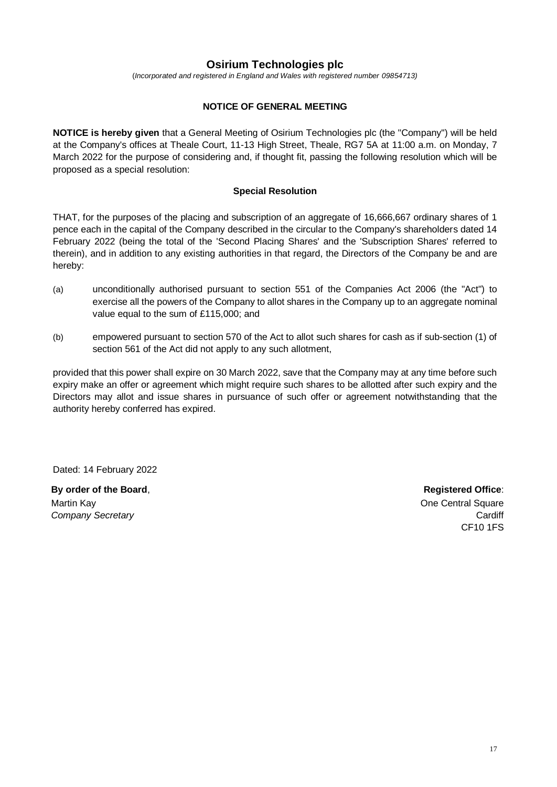# **Osirium Technologies plc**

(*Incorporated and registered in England and Wales with registered number 09854713)*

### **NOTICE OF GENERAL MEETING**

**NOTICE is hereby given** that a General Meeting of Osirium Technologies plc (the "Company") will be held at the Company's offices at Theale Court, 11-13 High Street, Theale, RG7 5A at 11:00 a.m. on Monday, 7 March 2022 for the purpose of considering and, if thought fit, passing the following resolution which will be proposed as a special resolution:

### **Special Resolution**

THAT, for the purposes of the placing and subscription of an aggregate of 16,666,667 ordinary shares of 1 pence each in the capital of the Company described in the circular to the Company's shareholders dated 14 February 2022 (being the total of the 'Second Placing Shares' and the 'Subscription Shares' referred to therein), and in addition to any existing authorities in that regard, the Directors of the Company be and are hereby:

- (a) unconditionally authorised pursuant to section 551 of the Companies Act 2006 (the "Act") to exercise all the powers of the Company to allot shares in the Company up to an aggregate nominal value equal to the sum of £115,000; and
- (b) empowered pursuant to section 570 of the Act to allot such shares for cash as if sub-section (1) of section 561 of the Act did not apply to any such allotment,

provided that this power shall expire on 30 March 2022, save that the Company may at any time before such expiry make an offer or agreement which might require such shares to be allotted after such expiry and the Directors may allot and issue shares in pursuance of such offer or agreement notwithstanding that the authority hereby conferred has expired.

Dated: 14 February 2022

**By order of the Board, the Board, the Board of the Board, the Registered Office: Registered Office**: Martin Kay *Company Secretary*

One Central Square **Cardiff** CF10 1FS